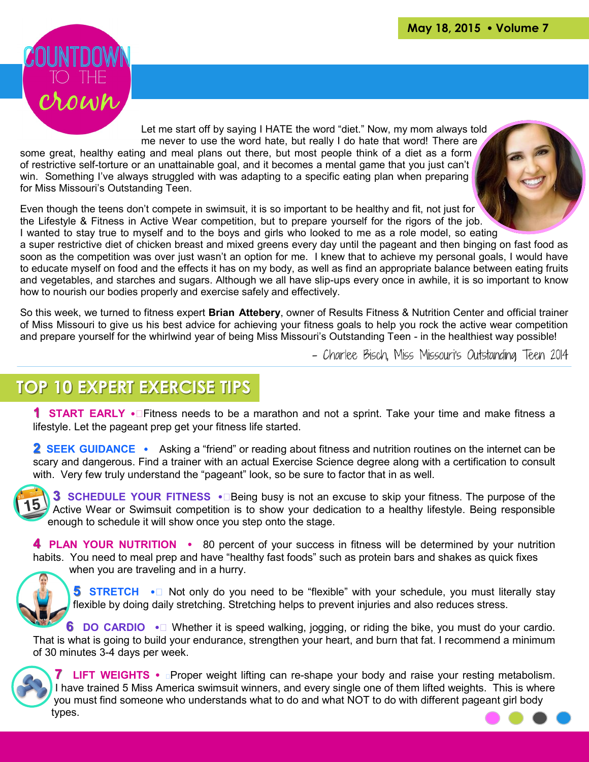

Let me start off by saying I HATE the word "diet." Now, my mom always told me never to use the word hate, but really I do hate that word! There are some great, healthy eating and meal plans out there, but most people think of a diet as a form of restrictive self-torture or an unattainable goal, and it becomes a mental game that you just can't win. Something I've always struggled with was adapting to a specific eating plan when preparing for Miss Missouri's Outstanding Teen.

Even though the teens don't compete in swimsuit, it is so important to be healthy and fit, not just for the Lifestyle & Fitness in Active Wear competition, but to prepare yourself for the rigors of the job. I wanted to stay true to myself and to the boys and girls who looked to me as a role model, so eating



a super restrictive diet of chicken breast and mixed greens every day until the pageant and then binging on fast food as soon as the competition was over just wasn't an option for me. I knew that to achieve my personal goals, I would have to educate myself on food and the effects it has on my body, as well as find an appropriate balance between eating fruits and vegetables, and starches and sugars. Although we all have slip-ups every once in awhile, it is so important to know how to nourish our bodies properly and exercise safely and effectively.

So this week, we turned to fitness expert **Brian Attebery**, owner of Results Fitness & Nutrition Center and official trainer of Miss Missouri to give us his best advice for achieving your fitness goals to help you rock the active wear competition and prepare yourself for the whirlwind year of being Miss Missouri's Outstanding Teen - in the healthiest way possible!

- Charlee Bisch, Miss Missouri's Outstanding Teen 2014

## **TOP 10 EXPERT EXERCISE TIPS**

**1 START EARLY Ÿ**Fitness needs to be a marathon and not a sprint. Take your time and make fitness a lifestyle. Let the pageant prep get your fitness life started.

**2 SEEK GUIDANCE** • Asking a "friend" or reading about fitness and nutrition routines on the internet can be scary and dangerous. Find a trainer with an actual Exercise Science degree along with a certification to consult with. Very few truly understand the "pageant" look, so be sure to factor that in as well.

**3 SCHEDULE YOUR FITNESS Ÿ**Being busy is not an excuse to skip your fitness. The purpose of the Active Wear or Swimsuit competition is to show your dedication to a healthy lifestyle. Being responsible enough to schedule it will show once you step onto the stage.

**4 PLAN YOUR NUTRITION •** 80 percent of your success in fitness will be determined by your nutrition habits. You need to meal prep and have "healthy fast foods" such as protein bars and shakes as quick fixes when you are traveling and in a hurry.



**5 STRETCH** •  $\overline{Y}$  Not only do you need to be "flexible" with your schedule, you must literally stay flexible by doing daily stretching. Stretching helps to prevent injuries and also reduces stress.

**6** DO CARDIO  $\cdot \hat{Y}$  Whether it is speed walking, jogging, or riding the bike, you must do your cardio. That is what is going to build your endurance, strengthen your heart, and burn that fat. I recommend a minimum of 30 minutes 3-4 days per week.



**7** LIFT WEIGHTS • *Y* Proper weight lifting can re-shape your body and raise your resting metabolism. I have trained 5 Miss America swimsuit winners, and every single one of them lifted weights. This is where you must find someone who understands what to do and what NOT to do with different pageant girl body types.